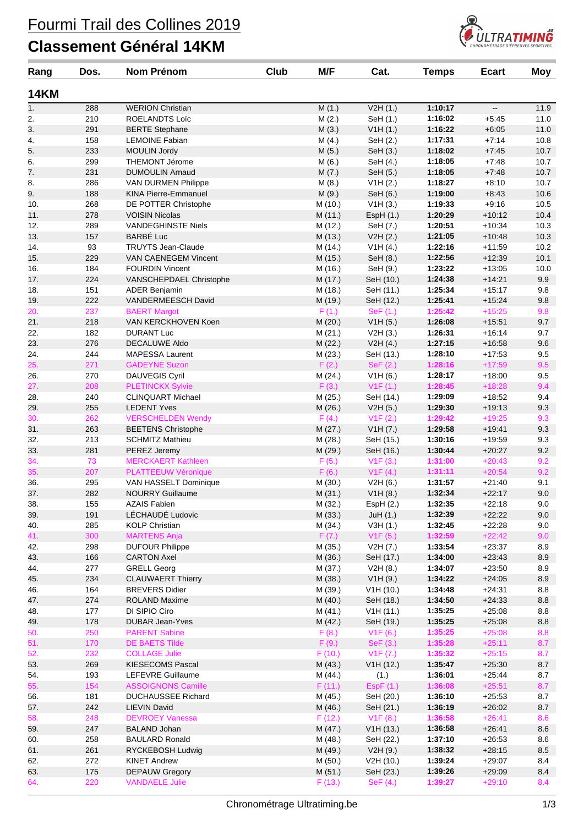## Fourmi Trail des Collines 2019

#### **Classement Général 14KM**



| Rang        | Dos.       | <b>Nom Prénom</b>                              | Club | M/F             | Cat.                  | <b>Temps</b>       | <b>Ecart</b>             | Moy        |
|-------------|------------|------------------------------------------------|------|-----------------|-----------------------|--------------------|--------------------------|------------|
| <b>14KM</b> |            |                                                |      |                 |                       |                    |                          |            |
| 1.          | 288        | <b>WERION Christian</b>                        |      | M(1.)           | V2H(1.)               | 1:10:17            | $\overline{\phantom{a}}$ | 11.9       |
| 2.          | 210        | ROELANDTS Loïc                                 |      | M(2.)           | SeH (1.)              | 1:16:02            | $+5:45$                  | 11.0       |
| 3.          | 291        | <b>BERTE Stephane</b>                          |      | M(3.)           | V1H(1.)               | 1:16:22            | $+6:05$                  | 11.0       |
| 4.          | 158        | <b>LEMOINE Fabian</b>                          |      | M(4.)           | SeH (2.)              | 1:17:31            | $+7:14$                  | 10.8       |
| 5.          | 233        | <b>MOULIN Jordy</b>                            |      | M(5.)           | SeH (3.)              | 1:18:02            | $+7.45$                  | 10.7       |
| 6.          | 299        | THEMONT Jérome                                 |      | M(6.)           | SeH (4.)              | 1:18:05            | $+7.48$                  | 10.7       |
| 7.          | 231        | <b>DUMOULIN Arnaud</b>                         |      | M(7.)           | SeH (5.)              | 1:18:05            | $+7.48$                  | 10.7       |
| 8.          | 286        | VAN DURMEN Philippe                            |      | M(8.)           | V1H(2.)               | 1:18:27            | $+8:10$                  | 10.7       |
| 9.          | 188        | <b>KINA Pierre-Emmanuel</b>                    |      | M(9.)           | SeH (6.)              | 1:19:00            | $+8.43$                  | 10.6       |
| 10.         | 268        | DE POTTER Christophe                           |      | M(10.)          | V1H(3.)               | 1:19:33            | $+9:16$                  | 10.5       |
| 11.         | 278        | <b>VOISIN Nicolas</b>                          |      | M(11.)          | EspH(1.)              | 1:20:29            | $+10.12$                 | 10.4       |
| 12.         | 289        | VANDEGHINSTE Niels                             |      | M (12.)         | SeH (7.)              | 1:20:51            | $+10:34$                 | 10.3       |
| 13.         | 157        | <b>BARBÉ Luc</b>                               |      | M (13.)         | V2H(2.)               | 1:21:05            | $+10:48$                 | 10.3       |
| 14.         | 93         | <b>TRUYTS Jean-Claude</b>                      |      | M (14.)         | V1H(4.)               | 1:22:16            | $+11:59$                 | 10.2       |
| 15.         | 229        | VAN CAENEGEM Vincent                           |      | M (15.)         | SeH (8.)              | 1:22:56            | $+12:39$                 | 10.1       |
| 16.         | 184        | <b>FOURDIN Vincent</b>                         |      | M (16.)         | SeH (9.)              | 1:23:22            | $+13:05$                 | 10.0       |
| 17.         | 224        | VANSCHEPDAEL Christophe                        |      | M (17.)         | SeH (10.)             | 1:24:38            | $+14.21$                 | 9.9        |
| 18.         | 151        | <b>ADER Benjamin</b>                           |      | M (18.)         | SeH (11.)             | 1:25:34            | $+15:17$                 | 9.8        |
| 19.         | 222        | VANDERMEESCH David                             |      | M (19.)         | SeH (12.)             | 1:25:41            | $+15.24$                 | 9.8        |
| 20.         | 237        | <b>BAERT Margot</b>                            |      | F(1.)           | $\text{SeF}(1.)$      | 1:25:42            | $+15:25$                 | 9.8        |
| 21.         | 218        | VAN KERCKHOVEN Koen                            |      | M (20.)         | V1H(5.)               | 1:26:08            | $+15:51$                 | 9.7        |
| 22.         | 182        | <b>DURANT Luc</b>                              |      | M(21.)          | V2H(3.)               | 1:26:31            | $+16:14$                 | 9.7        |
| 23.         | 276        | <b>DECALUWE Aldo</b><br><b>MAPESSA Laurent</b> |      | M(22.)          | V2H(4.)               | 1:27:15            | $+16:58$                 | 9.6        |
| 24.<br>25.  | 244<br>271 | <b>GADEYNE Suzon</b>                           |      | M(23.)<br>F(2.) | SeH (13.)<br>SeF (2.) | 1:28:10<br>1:28:16 | $+17:53$<br>$+17:59$     | 9.5<br>9.5 |
| 26.         | 270        | DAUVEGIS Cyril                                 |      | M (24.)         |                       | 1:28:17            | $+18:00$                 | 9.5        |
| 27.         | 208        | <b>PLETINCKX Sylvie</b>                        |      | F(3.)           | V1H(6.)<br>V1F(1.)    | 1:28:45            | $+18:28$                 | 9.4        |
| 28.         | 240        | <b>CLINQUART Michael</b>                       |      | M (25.)         | SeH (14.)             | 1:29:09            | $+18.52$                 | 9.4        |
| 29.         | 255        | <b>LEDENT Yves</b>                             |      | M(26.)          | V2H(5.)               | 1:29:30            | $+19:13$                 | 9.3        |
| 30.         | 262        | <b>VERSCHELDEN Wendy</b>                       |      | F(4.)           | V1F(2.)               | 1:29:42            | $+19:25$                 | 9.3        |
| 31.         | 263        | <b>BEETENS Christophe</b>                      |      | M(27.)          | V1H (7.)              | 1:29:58            | $+19.41$                 | 9.3        |
| 32.         | 213        | <b>SCHMITZ Mathieu</b>                         |      | M(28.)          | SeH (15.)             | 1:30:16            | $+19.59$                 | 9.3        |
| 33.         | 281        | PEREZ Jeremy                                   |      | M (29.)         | SeH (16.)             | 1:30:44            | $+20.27$                 | 9.2        |
| 34.         | 73         | <b>MERCKAERT Kathleen</b>                      |      | F(5.)           | V1F(3.)               | 1:31:00            | $+20:43$                 | 9.2        |
| 35.         | 207        | PLATTEEUW Véronique                            |      | F(6.)           | V1F(4.)               | 1:31:11            | $+20:54$                 | 9.2        |
| 36.         | 295        | VAN HASSELT Dominique                          |      | M (30.)         | V2H(6.)               | 1:31:57            | $+21:40$                 | 9.1        |
| 37.         | 282        | <b>NOURRY Guillaume</b>                        |      | M (31.)         | V1H(8.)               | 1:32:34            | $+22:17$                 | 9.0        |
| 38.         | 155        | AZAIS Fabien                                   |      | M (32.)         | EspH(2.)              | 1:32:35            | $+22:18$                 | 9.0        |
| 39.         | 191        | LÉCHAUDÉ Ludovic                               |      | M(33.)          | JuH(1.)               | 1:32:39            | $+22:22$                 | 9.0        |
| 40.         | 285        | <b>KOLP Christian</b>                          |      | M (34.)         | V3H(1.)               | 1:32:45            | $+22:28$                 | 9.0        |
| 41.         | 300        | <b>MARTENS Anja</b>                            |      | F(7.)           | V1F(5.)               | 1:32:59            | $+22:42$                 | 9.0        |
| 42.         | 298        | <b>DUFOUR Philippe</b>                         |      | M (35.)         | V2H (7.)              | 1:33:54            | $+23.37$                 | 8.9        |
| 43.         | 166        | <b>CARTON Axel</b>                             |      | M (36.)         | SeH (17.)             | 1:34:00            | $+23:43$                 | $8.9\,$    |
| 44.         | 277        | <b>GRELL Georg</b>                             |      | M(37.)          | V2H(8.)               | 1:34:07            | $+23:50$                 | 8.9        |
| 45.         | 234        | <b>CLAUWAERT Thierry</b>                       |      | M (38.)         | V1H(9.)               | 1:34:22            | $+24:05$                 | 8.9        |
| 46.         | 164        | <b>BREVERS Didier</b>                          |      | M (39.)         | V1H(10.)              | 1:34:48            | $+24:31$                 | 8.8        |
| 47.         | 274        | ROLAND Maxime                                  |      | M (40.)         | SeH (18.)             | 1:34:50            | $+24.33$                 | $8.8\,$    |
| 48.         | 177        | DI SIPIO Ciro                                  |      | M(41.)          | V1H(11.)              | 1:35:25            | $+25:08$                 | 8.8        |
| 49.         | 178        | <b>DUBAR Jean-Yves</b>                         |      | M(42.)          | SeH (19.)             | 1:35:25            | $+25:08$                 | 8.8        |
| 50.         | 250        | <b>PARENT Sabine</b>                           |      | F(8.)           | V1F(6.)               | 1:35:25            | $+25:08$                 | 8.8        |
| 51.         | 170        | <b>DE BAETS Tilde</b>                          |      | F(9.)           | SeF (3.)              | 1:35:28            | $+25:11$                 | 8.7        |
| 52.         | 232        | <b>COLLAGE Julie</b>                           |      | F(10.)          | V1F (7.)              | 1:35:32            | $+25:15$                 | 8.7        |
| 53.         | 269        | KIESECOMS Pascal                               |      | M (43.)         | V1H(12.)              | 1:35:47            | $+25:30$                 | 8.7        |
| 54.         | 193        | LEFEVRE Guillaume                              |      | M (44.)         | (1.)                  | 1:36:01            | $+25.44$                 | 8.7        |
| 55.         | 154        | <b>ASSOIGNONS Camille</b>                      |      | F(11.)          | EspF(1.)              | 1:36:08            | $+25:51$                 | 8.7        |
| 56.         | 181        | <b>DUCHAUSSEE Richard</b>                      |      | M (45.)         | SeH (20.)             | 1:36:10            | $+25.53$                 | 8.7        |
| 57.         | 242        | <b>LIEVIN David</b>                            |      | M (46.)         | SeH (21.)             | 1:36:19            | $+26:02$                 | 8.7        |
| 58.         | 248        | <b>DEVROEY Vanessa</b>                         |      | F(12.)          | V1F(8.)               | 1:36:58            | $+26:41$                 | 8.6        |
| 59.         | 247        | <b>BALAND Johan</b>                            |      | M (47.)         | V1H(13.)              | 1:36:58            | $+26:41$                 | 8.6        |
| 60.         | 258        | <b>BAULARD Ronald</b>                          |      | M (48.)         | SeH (22.)             | 1:37:10            | $+26.53$                 | 8.6        |
| 61.         | 261        | RYCKEBOSH Ludwig                               |      | M (49.)         | V2H(9.)               | 1:38:32            | $+28:15$                 | 8.5        |
| 62.         | 272        | <b>KINET Andrew</b>                            |      | M (50.)         | V2H (10.)             | 1:39:24            | $+29:07$                 | 8.4        |
| 63.         | 175        | <b>DEPAUW Gregory</b>                          |      | M(51.)          | SeH (23.)             | 1:39:26            | $+29:09$                 | 8.4        |
| 64.         | 220        | <b>VANDAELE Julie</b>                          |      | F(13.)          | SeF (4.)              | 1:39:27            | $+29:10$                 | 8.4        |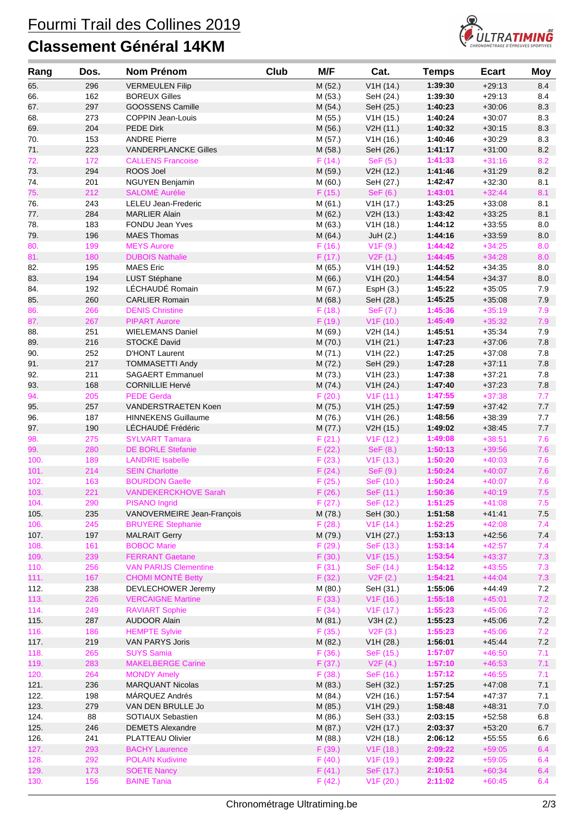## Fourmi Trail des Collines 2019

### **Classement Général 14KM**



| Rang       | Dos.       | <b>Nom Prénom</b>                                 | Club | M/F               | Cat.                   | <b>Temps</b>       | <b>Ecart</b>         | <b>Moy</b> |
|------------|------------|---------------------------------------------------|------|-------------------|------------------------|--------------------|----------------------|------------|
| 65.        | 296        | <b>VERMEULEN Filip</b>                            |      | M(52.)            | V1H(14.)               | 1:39:30            | $+29:13$             | 8.4        |
| 66.        | 162        | <b>BOREUX Gilles</b>                              |      | M (53.)           | SeH (24.)              | 1:39:30            | $+29:13$             | 8.4        |
| 67.        | 297        | GOOSSENS Camille                                  |      | M (54.)           | SeH (25.)              | 1:40:23            | $+30:06$             | 8.3        |
| 68.        | 273        | <b>COPPIN Jean-Louis</b>                          |      | M (55.)           | V1H(15.)               | 1:40:24            | $+30:07$             | 8.3        |
| 69.        | 204        | <b>PEDE Dirk</b>                                  |      | M (56.)           | V2H (11.)              | 1:40:32            | $+30:15$             | 8.3        |
| 70.        | 153        | <b>ANDRE Pierre</b>                               |      | M(57.)            | V1H(16.)               | 1:40:46            | $+30.29$             | 8.3        |
| 71.        | 223        | <b>VANDERPLANCKE Gilles</b>                       |      | M(58.)            | SeH (26.)              | 1:41:17            | $+31:00$             | 8.2        |
| 72.        | 172        | <b>CALLENS Francoise</b>                          |      | F(14.)            | SeF (5.)               | 1:41:33            | $+31:16$             | 8.2        |
| 73.        | 294        | ROOS Joel                                         |      | M (59.)           | V2H (12.)              | 1:41:46            | $+31:29$             | $8.2\,$    |
| 74.        | 201        | <b>NGUYEN Benjamin</b>                            |      | M (60.)           | SeH (27.)              | 1:42:47            | $+32:30$             | 8.1        |
| 75.        | 212        | <b>SALOMÉ Aurélie</b>                             |      | F(15.)            | SeF (6.)               | 1:43:01            | $+32:44$             | 8.1        |
| 76.        | 243        | LELEU Jean-Frederic                               |      | M(61.)            | V1H (17.)              | 1:43:25            | $+33:08$             | 8.1        |
| 77.        | 284        | <b>MARLIER Alain</b>                              |      | M(62.)            | V2H (13.)              | 1:43:42            | $+33:25$             | 8.1        |
| 78.        | 183        | <b>FONDU Jean Yves</b>                            |      | M (63.)           | V1H(18.)               | 1:44:12            | $+33:55$             | 8.0        |
| 79.        | 196        | <b>MAES Thomas</b>                                |      | M (64.)           | JuH(2.)                | 1:44:16            | $+33:59$             | 8.0        |
| 80.        | 199        | <b>MEYS Aurore</b>                                |      | F(16.)            | V1F(9.)                | 1:44:42            | $+34:25$             | 8.0        |
| 81.        | 180        | <b>DUBOIS Nathalie</b>                            |      | F(17.)            | V2F(1.)                | 1:44:45            | $+34:28$             | 8.0        |
| 82.        | 195        | <b>MAES Eric</b>                                  |      | M(65.)            | V1H(19.)               | 1:44:52            | $+34:35$             | 8.0        |
| 83.        | 194        | LUST Stéphane                                     |      | M (66.)           | V1H (20.)              | 1:44:54            | $+34:37$             | 8.0        |
| 84.        | 192        | LÉCHAUDÉ Romain                                   |      | M (67.)           | EspH(3.)               | 1:45:22            | $+35:05$             | 7.9        |
| 85.        | 260        | <b>CARLIER Romain</b>                             |      | M (68.)           | SeH (28.)              | 1:45:25            | $+35:08$             | 7.9        |
| 86.        | 266        | <b>DENIS Christine</b>                            |      | F(18.)            | SeF (7.)               | 1:45:36            | $+35:19$             | 7.9        |
| 87.        | 267        | <b>PIPART Aurore</b>                              |      | F(19.)            | V1F(10.)               | 1:45:49            | $+35:32$             | 7.9        |
| 88.        | 251        | <b>WIELEMANS Daniel</b><br>STOCKÉ David           |      | M (69.)           | V2H (14.)              | 1:45:51            | $+35:34$             | 7.9        |
| 89.        | 216        |                                                   |      | M(70.)            | V1H (21.)              | 1:47:23            | $+37:06$             | 7.8        |
| 90.        | 252        | <b>D'HONT Laurent</b>                             |      | M (71.)           | V1H (22.)              | 1:47:25            | $+37:08$             | 7.8        |
| 91.        | 217        | <b>TOMMASETTI Andy</b>                            |      | M (72.)           | SeH (29.)<br>V1H (23.) | 1:47:28<br>1:47:38 | $+37:11$             | 7.8<br>7.8 |
| 92.<br>93. | 211<br>168 | <b>SAGAERT Emmanuel</b><br><b>CORNILLIE Hervé</b> |      | M (73.)           | V1H (24.)              | 1:47:40            | $+37:21$<br>$+37:23$ | 7.8        |
| 94.        | 205        | <b>PEDE Gerda</b>                                 |      | M (74.)<br>F(20.) | V1F(11.)               | 1:47:55            | $+37:38$             | 7.7        |
| 95.        | 257        | VANDERSTRAETEN Koen                               |      | M (75.)           | V1H (25.)              | 1:47:59            | $+37:42$             | 7.7        |
| 96.        | 187        | <b>HINNEKENS Guillaume</b>                        |      | M (76.)           | V1H (26.)              | 1:48:56            | $+38.39$             | 7.7        |
| 97.        | 190        | LÉCHAUDÉ Frédéric                                 |      | M (77.)           | V2H (15.)              | 1:49:02            | $+38:45$             | 7.7        |
| 98.        | 275        | <b>SYLVART Tamara</b>                             |      | F(21.)            | V1F(12.)               | 1:49:08            | $+38:51$             | 7.6        |
| 99.        | 280        | <b>DE BORLE Stefanie</b>                          |      | F(22.)            | SeF(8.)                | 1:50:13            | $+39:56$             | 7.6        |
| 100.       | 189        | <b>LANDRIE Isabelle</b>                           |      | F(23.)            | V1F(13.)               | 1:50:20            | $+40:03$             | 7.6        |
| 101.       | 214        | <b>SEIN Charlotte</b>                             |      | F(24.)            | SeF (9.)               | 1:50:24            | $+40:07$             | 7.6        |
| 102.       | 163        | <b>BOURDON Gaelle</b>                             |      | F(25.)            | SeF (10.)              | 1:50:24            | $+40:07$             | 7.6        |
| 103.       | 221        | <b>VANDEKERCKHOVE Sarah</b>                       |      | F(26.)            | SeF (11.)              | 1:50:36            | $+40:19$             | 7.5        |
| 104.       | 290        | <b>PISANO Ingrid</b>                              |      | F(27.)            | SeF (12.)              | 1:51:25            | $+41:08$             | 7.5        |
| 105.       | 235        | VANOVERMEIRE Jean-François                        |      | M (78.)           | SeH (30.)              | 1:51:58            | $+41.41$             | 7.5        |
| 106.       | 245        | <b>BRUYERE Stephanie</b>                          |      | F(28.)            | V1F(14.)               | 1:52:25            | $+42:08$             | 7.4        |
| 107.       | 197        | <b>MALRAIT Gerry</b>                              |      | M (79.)           | V1H (27.)              | 1:53:13            | $+42:56$             | $7.4$      |
| 108.       | 161        | <b>BOBOC Marie</b>                                |      | F(29.)            | SeF (13.)              | 1:53:14            | $+42:57$             | 7.4        |
| 109.       | 239        | <b>FERRANT Gaetane</b>                            |      | F(30.)            | V <sub>1</sub> F (15.) | 1:53:54            | $+43:37$             | 7.3        |
| 110.       | 256        | <b>VAN PARIJS Clementine</b>                      |      | F(31.)            | SeF (14.)              | 1:54:12            | $+43:55$             | 7.3        |
| 111.       | 167        | <b>CHOMI MONTÉ Betty</b>                          |      | F(32.)            | V2F(2.)                | 1:54:21            | $+44:04$             | 7.3        |
| 112.       | 238        | DEVLECHOWER Jeremy                                |      | M (80.)           | SeH (31.)              | 1:55:06            | $+44.49$             | 7.2        |
| 113.       | 226        | <b>VERCAIGNE Martine</b>                          |      | F(33.)            | V1F(16.)               | 1:55:18            | $+45:01$             | 7.2        |
| 114.       | 249        | <b>RAVIART Sophie</b>                             |      | F(34.)            | V <sub>1</sub> F (17.) | 1:55:23            | $+45:06$             | 7.2        |
| 115.       | 287        | <b>AUDOOR Alain</b>                               |      | M(81.)            | V3H(2.)                | 1:55:23            | $+45:06$             | $7.2\,$    |
| 116.       | 186        | <b>HEMPTE Sylvie</b>                              |      | F(35.)            | V2F(3.)                | 1:55:23            | $+45:06$             | 7.2        |
| 117.       | 219        | VAN PARYS Joris                                   |      | M (82.)           | V1H (28.)              | 1:56:01            | $+45.44$             | $7.2$      |
| 118.       | 265        | <b>SUYS Samia</b>                                 |      | F(36.)            | SeF (15.)              | 1:57:07            | $+46:50$             | 7.1        |
| 119.       | 283        | <b>MAKELBERGE Carine</b>                          |      | F(37.)            | V2F(4.)                | 1:57:10            | $+46:53$             | 7.1        |
| 120.       | 264        | <b>MONDY Amely</b>                                |      | F(38.)            | SeF (16.)              | 1:57:12            | $+46:55$             | 7.1        |
| 121.       | 236        | <b>MARQUANT Nicolas</b>                           |      | M(83.)            | SeH (32.)              | 1:57:25            | $+47:08$             | 7.1        |
| 122.       | 198        | MÁRQUEZ Andrés                                    |      | M (84.)           | V2H (16.)              | 1:57:54            | $+47.37$             | 7.1        |
| 123.       | 279        | VAN DEN BRULLE Jo                                 |      | M (85.)           | V1H (29.)              | 1:58:48            | $+48.31$             | $7.0\,$    |
| 124.       | 88         | SOTIAUX Sebastien                                 |      | M (86.)           | SeH (33.)              | 2:03:15            | $+52:58$             | 6.8        |
| 125.       | 246        | <b>DEMETS Alexandre</b>                           |      | M (87.)           | V2H (17.)              | 2:03:37            | $+53:20$             | $6.7\,$    |
| 126.       | 241        | PLATTEAU Olivier                                  |      | M (88.)           | V2H (18.)              | 2:06:12            | $+55:55$             | 6.6        |
| 127.       | 293        | <b>BACHY Laurence</b>                             |      | F(39.)            | V <sub>1</sub> F (18.) | 2:09:22            | $+59:05$             | 6.4        |
| 128.       | 292        | <b>POLAIN Kudivine</b>                            |      | F(40.)            | V <sub>1</sub> F (19.) | 2:09:22            | $+59:05$             | 6.4        |
| 129.       | 173        | <b>SOETE Nancy</b>                                |      | F(41.)            | SeF (17.)              | 2:10:51            | $+60:34$             | 6.4        |
| 130.       | 156        | <b>BAINE Tania</b>                                |      | F(42.)            | V1F(20.)               | 2:11:02            | $+60:45$             | 6.4        |